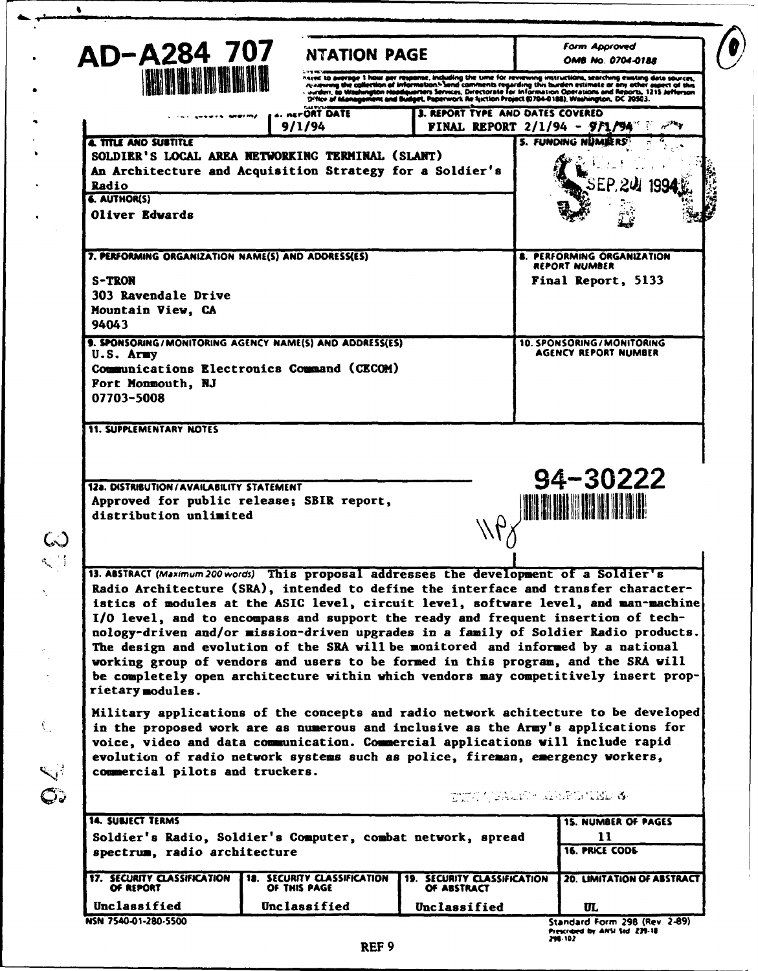| AD-A284 707                                        | <b>NTATION PAGE</b>                                                                     |                                            | <b>Form Approved</b><br>OMB No. 0704-0188                                                                                                                                                                                                                                                                                                                  |
|----------------------------------------------------|-----------------------------------------------------------------------------------------|--------------------------------------------|------------------------------------------------------------------------------------------------------------------------------------------------------------------------------------------------------------------------------------------------------------------------------------------------------------------------------------------------------------|
| <b>THE DESCRIPTION OF REA</b>                      |                                                                                         |                                            | haved to average 1 hour per response, including the time for reviewing instructions, searching existing data sources,<br>extra an extra proposition of information. Send comments regarding this burden extinate or any other appet of this<br>Content, to Washington Haadsuarien's Services, Directorate for information Operations and Minority. 1215 Je |
|                                                    | s. nerORT DATE                                                                          | 3. REPORT TYPE AND DATES COVERED           |                                                                                                                                                                                                                                                                                                                                                            |
|                                                    | 9/1/94                                                                                  |                                            | <b>FINAL REPORT 2/1/94 - 971/94"</b>                                                                                                                                                                                                                                                                                                                       |
| <b>A TITLE AND SUSTITLE</b>                        | SOLDIER'S LOCAL AREA NETWORKING TERMINAL (SLANT)                                        |                                            | 5. FUNDING NUMBERS                                                                                                                                                                                                                                                                                                                                         |
|                                                    | An Architecture and Acquisition Strategy for a Soldier's                                |                                            |                                                                                                                                                                                                                                                                                                                                                            |
| Radio                                              |                                                                                         |                                            |                                                                                                                                                                                                                                                                                                                                                            |
| <b>6. AUTHOR(S)</b><br>Oliver Edwards              |                                                                                         |                                            |                                                                                                                                                                                                                                                                                                                                                            |
|                                                    |                                                                                         |                                            |                                                                                                                                                                                                                                                                                                                                                            |
| 7. PERFORMING ORGANIZATION NAME(S) AND ADDRESS(ES) |                                                                                         |                                            | <b>8. PERFORMING ORGANIZATION</b><br><b>REPORT NUMBER</b>                                                                                                                                                                                                                                                                                                  |
| S-TRON                                             |                                                                                         |                                            | Final Report, 5133                                                                                                                                                                                                                                                                                                                                         |
| 303 Ravendale Drive                                |                                                                                         |                                            |                                                                                                                                                                                                                                                                                                                                                            |
| Mountain View, CA<br>94043                         |                                                                                         |                                            |                                                                                                                                                                                                                                                                                                                                                            |
| $U.S.$ Army                                        | 9. SPONSORING/MONITORING AGENCY NAME(S) AND ADDRESS(ES)                                 |                                            | <b>10. SPONSORING/MONITORING</b><br>AGENCY REPORT NUMBER                                                                                                                                                                                                                                                                                                   |
|                                                    | Communications Electronics Command (CECOM)                                              |                                            |                                                                                                                                                                                                                                                                                                                                                            |
| Fort Monmouth, NJ                                  |                                                                                         |                                            |                                                                                                                                                                                                                                                                                                                                                            |
| 07703-5008                                         |                                                                                         |                                            |                                                                                                                                                                                                                                                                                                                                                            |
| <b>11. SUPPLEMENTARY NOTES</b>                     |                                                                                         |                                            |                                                                                                                                                                                                                                                                                                                                                            |
| <b>12a. DISTRIBUTION/AVAILABILITY STATEMENT</b>    | Approved for public release; SBIR report,                                               |                                            | 94-30222                                                                                                                                                                                                                                                                                                                                                   |
| distribution unlimited                             |                                                                                         |                                            |                                                                                                                                                                                                                                                                                                                                                            |
|                                                    | 13. ABSTRACT (Maximum 200 words) This proposal addresses the development of a Soldier's |                                            |                                                                                                                                                                                                                                                                                                                                                            |
|                                                    |                                                                                         |                                            | Radio Architecture (SRA), intended to define the interface and transfer character-                                                                                                                                                                                                                                                                         |
|                                                    |                                                                                         |                                            | istics of modules at the ASIC level, circuit level, software level, and man-machine<br>I/O level, and to encompass and support the ready and frequent insertion of tech-                                                                                                                                                                                   |
|                                                    |                                                                                         |                                            | nology-driven and/or mission-driven upgrades in a family of Soldier Radio products.                                                                                                                                                                                                                                                                        |
|                                                    | The design and evolution of the SRA will be monitored and informed by a national        |                                            | working group of vendors and users to be formed in this program, and the SRA will                                                                                                                                                                                                                                                                          |
|                                                    |                                                                                         |                                            | be completely open architecture within which vendors may competitively insert prop-                                                                                                                                                                                                                                                                        |
| rietary modules.                                   |                                                                                         |                                            | Military applications of the concepts and radio network achitecture to be developed<br>in the proposed work are as numerous and inclusive as the Army's applications for                                                                                                                                                                                   |
|                                                    | voice, video and data communication. Commercial applications will include rapid         |                                            |                                                                                                                                                                                                                                                                                                                                                            |
|                                                    | evolution of radio network systems such as police, fireman, emergency workers,          |                                            |                                                                                                                                                                                                                                                                                                                                                            |
| commercial pilots and truckers.                    |                                                                                         |                                            | TIM QUALISH RISPUBLIKE &                                                                                                                                                                                                                                                                                                                                   |
| <b>14. SUBJECT TERMS</b>                           |                                                                                         |                                            | <b>15. NUMBER OF PAGES</b>                                                                                                                                                                                                                                                                                                                                 |
| spectrum, radio architecture                       | Soldier's Radio, Soldier's Computer, combat network, spread                             |                                            | 11<br>16. PRICE CODE                                                                                                                                                                                                                                                                                                                                       |
| <b>17. SECURITY CLASSIFICATION</b><br>OF REPORT    | <b>18. SECURITY CLASSIFICATION</b><br>OF THIS PAGE                                      | 19. SECURITY CLASSIFICATION<br>OF ABSTRACT | 20. LIMITATION OF ABSTRACT                                                                                                                                                                                                                                                                                                                                 |

 $\cdot$ 

X

 $\bullet$ 

 $\bullet$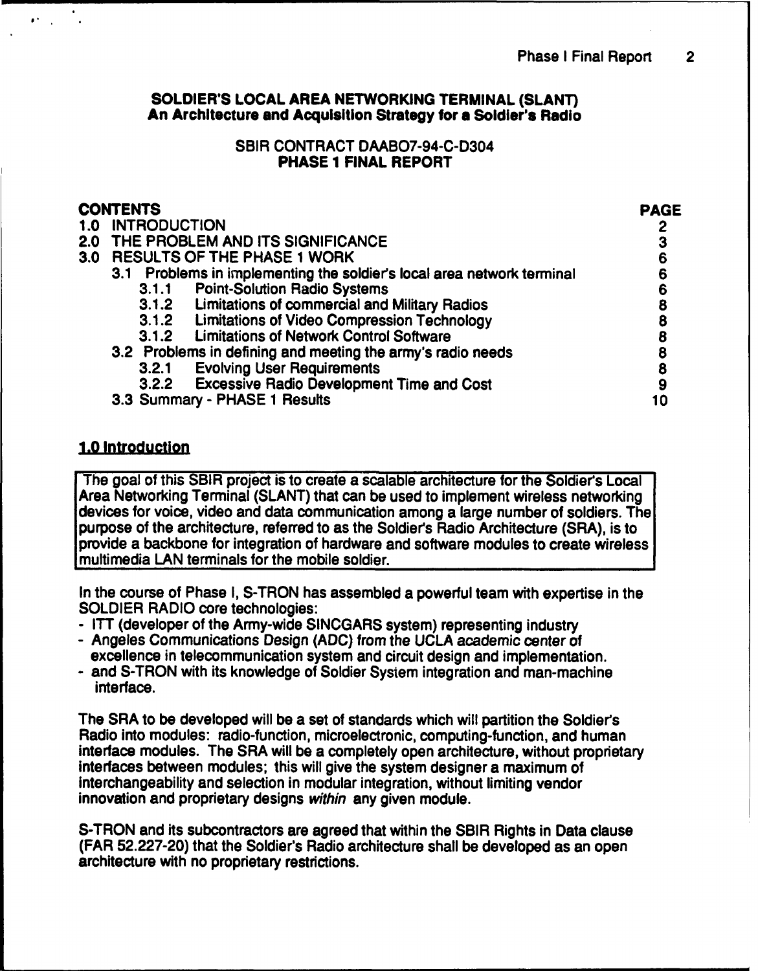### SOLDIER'S LOCAL AREA NETWORKING TERMINAL (SLANT) An Architecture and Acquisition Strategy for a Soldier's Radio

### SBIR CONTRACT DAABO7-94-C-D304 PHASE 1 FINAL REPORT

| <b>CONTENTS</b>  |                                                                        |    |  |
|------------------|------------------------------------------------------------------------|----|--|
| 1.0              | <b>INTRODUCTION</b>                                                    |    |  |
|                  | 2.0 THE PROBLEM AND ITS SIGNIFICANCE                                   |    |  |
| 3.0 <sub>1</sub> | <b>RESULTS OF THE PHASE 1 WORK</b>                                     |    |  |
|                  | 3.1 Problems in implementing the soldier's local area network terminal |    |  |
|                  | <b>Point-Solution Radio Systems</b><br>3.1.1                           |    |  |
|                  | 3.1.2 Limitations of commercial and Military Radios                    | 8  |  |
|                  | 3.1.2 Limitations of Video Compression Technology                      |    |  |
|                  | <b>Limitations of Network Control Software</b><br>3.1.2                | 8  |  |
|                  | 3.2 Problems in defining and meeting the army's radio needs            |    |  |
|                  | <b>Evolving User Requirements</b><br>3.2.1                             | 8  |  |
|                  | 3.2.2 Excessive Radio Development Time and Cost                        | 9  |  |
|                  | 3.3 Summary - PHASE 1 Results                                          | 10 |  |

# **1.0** Introduction

 $\mathbf{C}^{\text{in}}(\mathbb{R}^d)$ 

The goal of this SBIR project is to create a scalable architecture for the Soldier's Local Area Networking Terminal (SLANT) that can be used to implement wireless networking devices for voice, video and data communication among a large number of soldiers. The purpose of the architecture, referred to as the Soldiers Radio Architecture (SRA), is to provide a backbone for integration of hardware and software modules to create wireless multimedia LAN terminals for the mobile soldier.

In the course of Phase I, S-TRON has assembled a powerful team with expertise in the SOLDIER RADIO core technologies:

- ITT (developer of the Army-wide SINCGARS system) representing industry
- **-** Angeles Communications Design (ADC) from the UCLA academic center of excellence in telecommunication system and circuit design and implementation. - and S-TRON with its knowledge of Soldier System integration and man-machine
- interface.

The SRA to be developed will be a set of standards which will partition the Soldier's Radio into modules: radio-function, microelectronic, computing-function, and human interface modules. The SRA will be a completely open architecture, without proprietary interfaces between modules; this will give the system designer a maximum of interchangeability and selection in modular integration, without limiting vendor innovation and proprietary designs *within* any given module.

S-TRON and its subcontractors are agreed that within the SBIR Rights in Data clause (FAR 52.227-20) that the Soldier's Radio architecture shall be developed as an open architecture with no proprietary restrictions.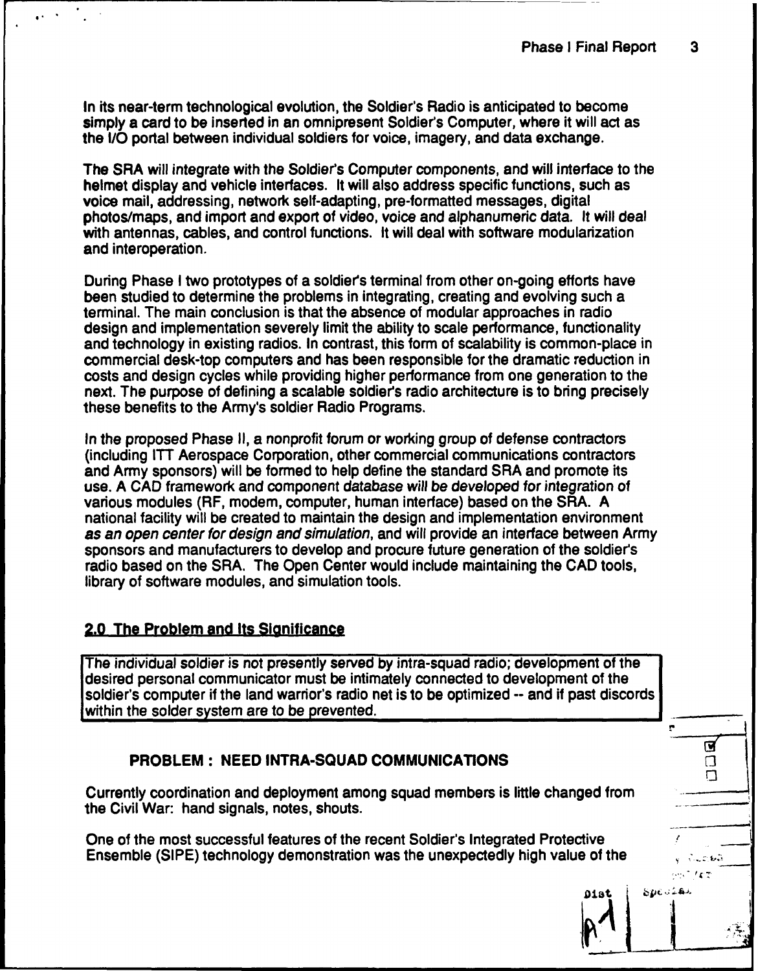In its near-term technological evolution, the Soldier's Radio is anticipated to become simply a card to be inserted in an omnipresent Soldier's Computer, where it will act as the I/O portal between individual soldiers for voice, imagery, and data exchange.

The SRA will integrate with the Soldier's Computer components, and will interface to the helmet display and vehicle interfaces. It will also address specific functions, such as voice mail, addressing, network self-adapting, pre-formatted messages, digital photos/maps, and import and export of video, voice and alphanumeric data. It will deal with antennas, cables, and control functions. It will deal with software modularization and interoperation.

During Phase I two prototypes of a soldier's terminal from other on-going efforts have been studied to determine the problems in integrating, creating and evolving such a terminal. The main conclusion is that the absence of modular approaches in radio design and implementation severely limit the ability to scale performance, functionality and technology in existing radios. In contrast, this form of scalability is common-place in commercial desk-top computers and has been responsible for the dramatic reduction in costs and design cycles while providing higher performance from one generation to the next. The purpose of defining a scalable soldier's radio architecture is to bring precisely these benefits to the Army's soldier Radio Programs.

In the proposed Phase II, a nonprofit forum or working group of defense contractors (including ITT Aerospace Corporation, other commercial communications contractors and Army sponsors) will be formed to help define the standard SRA and promote its use. A CAD framework and component database *will* be developed for integration of various modules (RF, modem, computer, human interface) based on the SRA. A national facility will be created to maintain the design and implementation environment *as an open center for design and simulation,* and will provide an interface between Army sponsors and manufacturers to develop and procure future generation of the soldier's radio based on the SRA. The Open Center would include maintaining the CAD tools, library of software modules, and simulation tools.

### 2.0 The Problem and Its Significance

The individual soldier is not presently served by intra-squad radio; development of the desired personal communicator must be intimately connected to development of the soldier's computer if the land warrior's radio net is to be optimized -- and if past discords within the solder system are to be prevented.

# PROBLEM: NEED INTRA-SQUAD COMMUNICATIONS *Fl*

Currently coordination and deployment among squad members is little changed from the Civil War: hand signals, notes, shouts.

One of the most successful features of the recent Soldier's Integrated Protective Ensemble (SIPE) technology demonstration was the unexpectedly high value of the

ņ

Ω

 $\sqrt{1-\mathcal{L}^2}$  for  $\overline{\mathcal{L}}$  $167$ وأمرد Special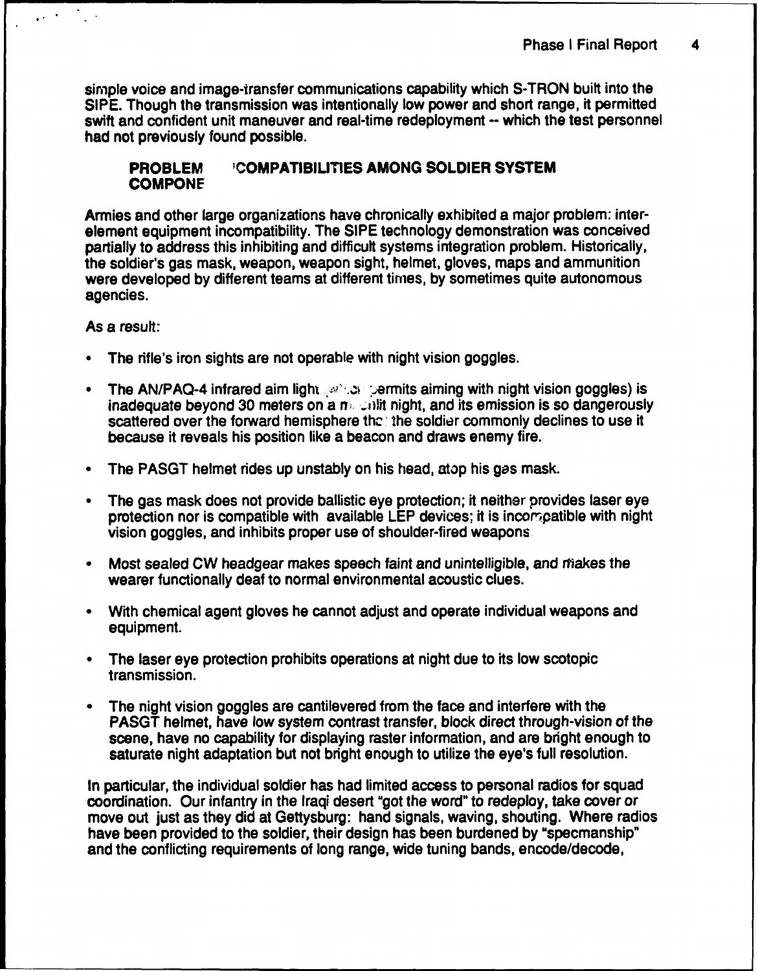simple voice and image-transfer communications capability which S-TRON built into the SIPE. Though the transmission was intentionally low power and short range, it permitted swift and confident unit maneuver and real-time redeployment -- which the test personnel had not previously found possible.

### PROBLEM **'COMPATIBILITIES AMONG** SOLDIER SYSTEM **COMPONE**

Armies and other large organizations have chronically exhibited a major problem: interelement equipment incompatibility. The SIPE technology demonstration was conceived partially to address this inhibiting and difficult systems integration problem. Historically, the soldier's gas mask, weapon, weapon sight, helmet, gloves, maps and ammunition were developed by different teams at different times, by sometimes quite autonomous agencies.

As a result:

 $\sqrt{1+\frac{1}{2}}$ 

- The rifle's iron sights are not operable with night vision goggles.
- The AN/PAQ-4 infrared aim light  $\mathbb{R}^n$  be permits aiming with night vision goggles) is inadequate beyond 30 meters on a  $n$ -  $\omega$ ilit night, and its emission is so dangerously scattered over the forward hemisphere the the soldier commonly declines to use it because it reveals his position like a beacon and draws enemy fire.
- The PASGT helmet rides up unstably on his head, atop his gas mask.
- The gas mask does not provide ballistic eye protection; it neither provides laser eye protection nor is compatible with available LEP devices; it is incompatible with night vision goggles, and inhibits proper use of shoulder-fired weapons
- Most sealed CW headgear makes speech faint and unintelligible, and makes the wearer functionally deaf to normal environmental acoustic clues.
- ", With chemical agent gloves he cannot adjust and operate individual weapons and equipment.
- The laser eye protection prohibits operations at night due to its low scotopic transmission.
- The night vision goggles are cantilevered from the face and interfere with the PASGT helmet, have low system contrast transfer, block direct through-vision of the scene, have no capability for displaying raster information, and are bright enough to saturate night adaptation but not bright enough to utilize the eye's full resolution.

In particular, the individual soldier has had limited access to personal radios for squad coordination. Our infantry in the Iraqi desert "got the word" to redeploy, take cover or move out just as they did at Gettysburg: hand signals, waving, shouting. Where radios have been provided to the soldier, their design has been burdened by "specmanship" and the conflicting requirements of long range, wide tuning bands, encode/decode,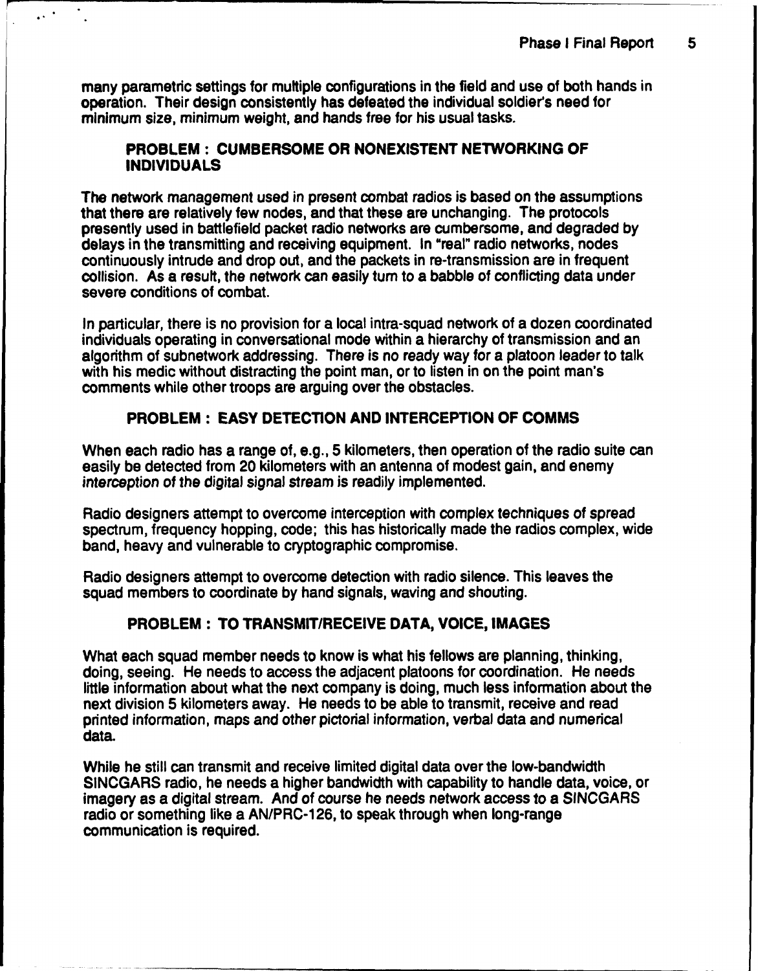many parametric settings for multiple configurations in the field and use of both hands in operation. Their design consistently has defeated the individual soldier's need for minimum size, minimum weight, and hands free for his usual tasks.

### PROBLEM: **CUMBERSOME** OR **NONEXISTENT** NETWORKING OF **INDIVIDUALS**

The network management used in present combat radios is based on the assumptions that there are relatively few nodes, and that these are unchanging. The protocols presently used in battlefield packet radio networks are cumbersome, and degraded by delays in the transmitting and receiving equipment. In "real" radio networks, nodes continuously intrude and drop out, and the packets in re-transmission are in frequent collision. As a result, the network can easily turn to a babble of conflicting data under severe conditions of combat.

In particular, there is no provision for a local intra-squad network of a dozen coordinated individuals operating in conversational mode within a hierarchy of transmission and an algorithm of subnetwork addressing. There is no ready way for a platoon leader to talk with his medic without distracting the point man, or to listen in on the point man's comments while other troops are arguing over the obstacles.

# PROBLEM: **EASY DETECTION AND INTERCEPTION** OF **COMMS**

When each radio has a range of, e.g., 5 kilometers, then operation of the radio suite can easily be detected from 20 kilometers with an antenna of modest gain, and enemy interception of the digital signal stream is readily implemented.

Radio designers attempt to overcome interception with complex techniques of spread spectrum, frequency hopping, code; this has historically made the radios complex, wide band, heavy and vulnerable to cryptographic compromise.

Radio designers attempt to overcome detection with radio silence. This leaves the squad members to coordinate by hand signals, waving and shouting.

# PROBLEM: TO TRANSMIT/RECEIVE **DATA, VOICE, IMAGES**

What each squad member needs to know is what his fellows are planning, thinking, doing, seeing. He needs to access the adjacent platoons for coordination. He needs little information about what the next company is doing, much less information about the next division 5 kilometers away. He needs to be able to transmit, receive and read printed information, maps and other pictorial information, verbal data and numerical data.

While he still can transmit and receive limited digital data over the low-bandwidth SINCGARS radio, he needs a higher bandwidth with capability to handle data, voice, or imagery as a digital stream. And of course he needs network access to a SINCGARS radio or something like a AN/PRC-126, to speak through when long-range communication is required.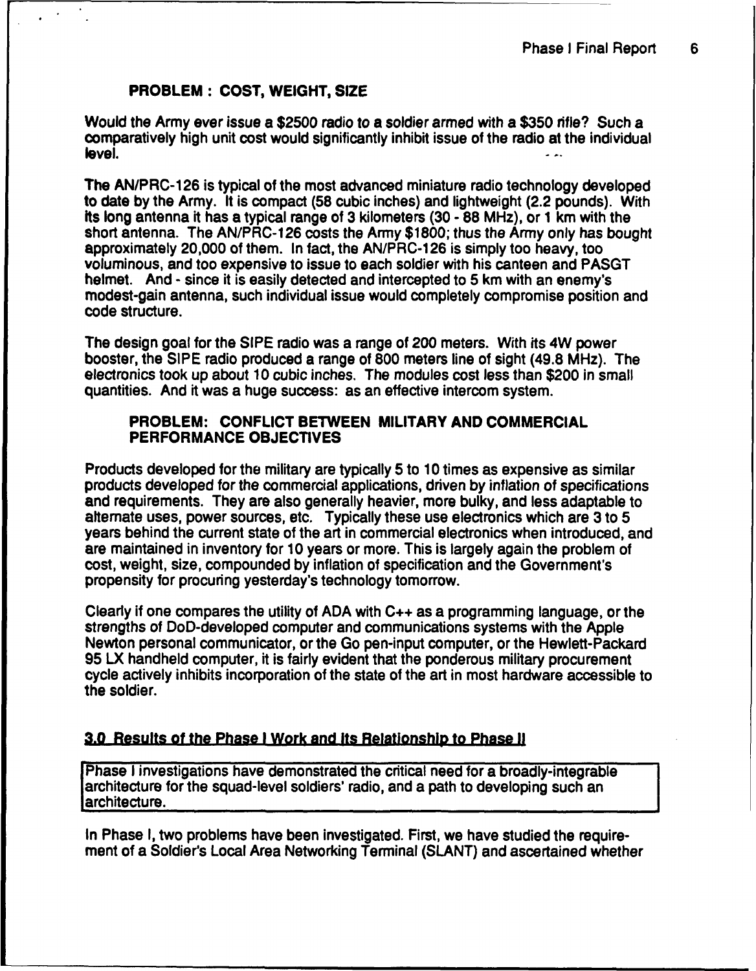### PROBLEM: **COST,** WEIGHT, **SIZE**

Would the Army ever issue a \$2500 radio to a soldier armed with a \$350 rifle? Such a comparatively high unit cost would significantly inhibit issue of the radio at the individual level.

The AN/PRC-126 is typical of the most advanced miniature radio technology developed to date by the Army. It is compact (58 cubic inches) and lightweight (2.2 pounds). With Its long antenna it has a typical range of 3 kilometers (30 - 88 MHz), or **1** km with the short antenna. The AN/PRC-126 costs the Army \$1800; thus the Army only has bought approximately 20,000 of them. In fact, the AN/PRC-1 26 is simply too heavy, too voluminous, and too expensive to issue to each soldier with his canteen and PASGT helmet. And - since it is easily detected and intercepted to 5 km with an enemy's modest-gain antenna, such individual issue would completely compromise position and code structure.

The design goal for the SIPE radio was a range of 200 meters. With its 4W power booster, the SIPE radio produced a range of 800 meters line of sight (49.8 MHz). The electronics took up about 10 cubic inches. The modules cost less than \$200 in small quantities. And it was a huge success: as an effective intercom system.

### PROBLEM: **CONFLICT BETWEEN** MILITARY **AND** COMMERCIAL PERFORMANCE **OBJECTIVES**

Products developed for the military are typically 5 to 10 times as expensive as similar products developed for the commercial applications, driven by inflation of specifications and requirements. They are also generally heavier, more bulky, and less adaptable to alternate uses, power sources, etc. Typically these use electronics which are 3 to 5 years behind the current state of the art in commercial electronics when introduced, and are maintained in inventory for 10 years or more. This is largely again the problem of cost, weight, size, compounded by inflation of specification and the Government's propensity for procuring yesterday's technology tomorrow.

Clearly if one compares the utility of ADA with C++ as a programming language, or the strengths of DoD-developed computer and communications systems with the Apple Newton personal communicator, or the Go pen-input computer, or the Hewlett-Packard 95 LX handheld computer, it is fairly evident that the ponderous military procurement cycle actively inhibits incorporation of the state of the art in most hardware accessible to the soldier.

**3.0 Results of the Phase I Work and Its Relationship to Phase II**<br>Phase I investigations have demonstrated the critical need for a broadly-integrable architecture for the squad-level soldiers' radio, and a path to developing such an architecture.

In Phase I, two problems have been investigated. First, we have studied the requirement of a Soldier's Local Area Networking Terminal (SLANT) and ascertained whether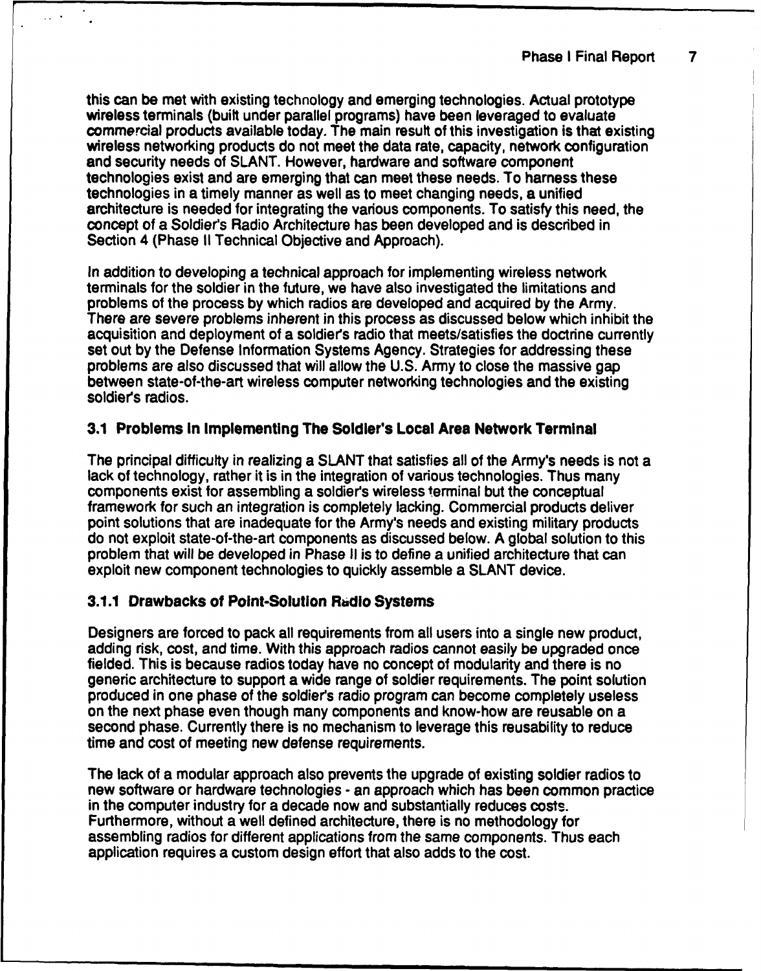this can be met with existing technology and emerging technologies. Actual prototype wireless terminals (built under parallel programs) have been leveraged to evaluate commercial products available today. The main result of this investigation is that existing wireless networking products do not meet the data rate, capacity, network configuration and security needs of SLANT. However, hardware and software component technologies exist and are emerging that can meet these needs. To harness these technologies in a timely manner as well as to meet changing needs, a unified architecture is needed for integrating the various components. To satisfy this need, the concept of a Soldier's Radio Architecture has been developed and is described in Section 4 (Phase II Technical Objective and Approach).

In addition to developing a technical approach for implementing wireless network terminals for the soldier in the future, we have also investigated the limitations and problems of the process by which radios are developed and acquired by the Army. There are severe problems inherent in this process as discussed below which inhibit the acquisition and deployment of a soldiers radio that meets/satisfies the doctrine currently set out by the Defense Information Systems Agency. Strategies for addressing these problems are also discussed that will allow the U.S. Army to close the massive gap between state-of-the-art wireless computer networking technologies and the existing soldier's radios.

### 3.1 Problems In Implementing The Soldier's Local Area Network Terminal

The principal difficulty in realizing a SLANT that satisfies all of the Army's needs is not a lack of technology, rather it is in the integration of various technologies. Thus many components exist for assembling a soldiers wireless terminal but the conceptual framework for such an integration is completely lacking. Commercial products deliver point solutions that are inadequate for the Army's needs and existing military products do not exploit state-of-the-art components as discussed below. A global solution to this problem that will be developed in Phase II is to define a unified architecture that can exploit new component technologies to quickly assemble a SLANT device.

# **3.1.1** Drawbacks of Point-Solution **Radlo** Systems

Designers are forced to pack all requirements from all users into a single new product, adding risk, cost, and time. With this approach radios cannot easily be upgraded once fielded. This is because radios today have no concept of modularity and there is no generic architecture to support a wide range of soldier requirements. The point solution produced in one phase of the soldier's radio program can become completely useless on the next phase even though many components and know-how are reusable on a second phase. Currently there is no mechanism to leverage this reusability to reduce time and cost of meeting new defense requirements.

The lack of a modular approach also prevents the upgrade of existing soldier radios to new software or hardware technologies - an approach which has been common practice in the computer industry for a decade now and substantially reduces costs. Furthermore, without a well defined architecture, there is no methodology for assembling radios for different applications from the same components. Thus each application requires a custom design effort that also adds to the cost.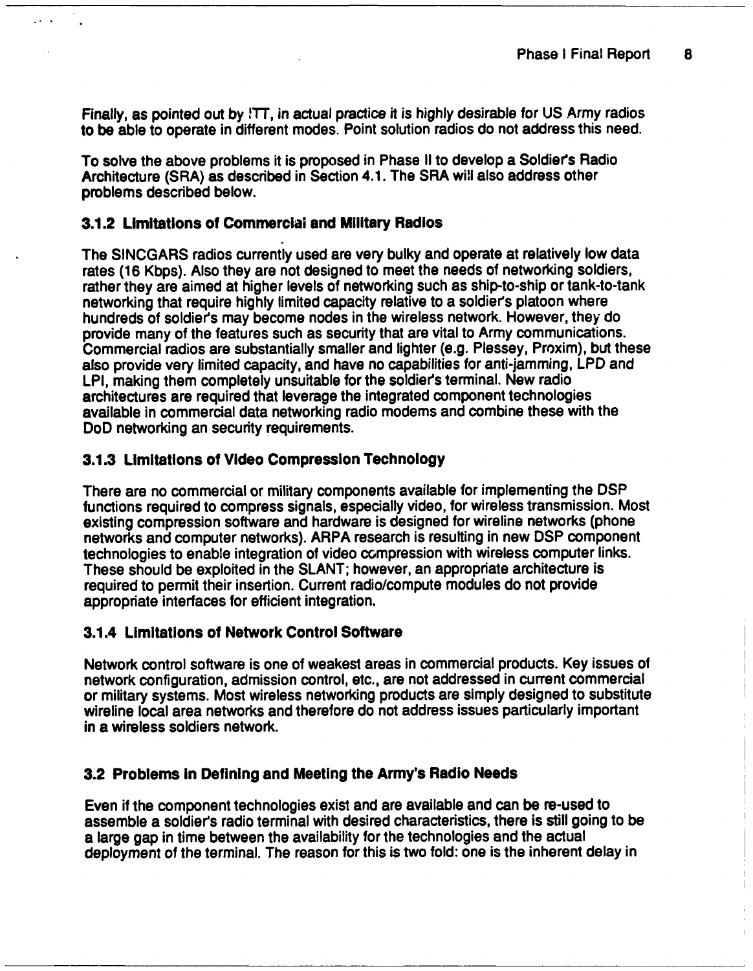Finally, as pointed out by !TT, in actual practice it is highly desirable for US Army radios to be able to operate in different modes. Point solution radios do not address this need.

To solve the above problems it is proposed in Phase II to develop a Soldiers Radio Architecture (SRA) as described in Section 4.1. The SRA will also address other problems described below.

### 3.1.2 Limitations of Commercial and Military Radios

The SINCGARS radios currently used are very bulky and operate at relatively low data rates (16 Kbps). Also they are not designed to meet the needs of networking soldiers, rather they are aimed at higher levels of networking such as ship-to-ship or tank-to-tank networking that require highly limited capacity relative to a soldiers platoon where hundreds of soldiers may become nodes in the wireless network. However, they do provide many of the features such as security that are vital to Army communications. Commercial radios are substantially smaller and lighter (e.g. Plessey, Proxim), but these also provide very limited capacity, and have no capabilities for anti-jamming, LPD and LPI, making them completely unsuitable for the soldier's terminal. New radio architectures are required that leverage the integrated component technologies available in commercial data networking radio modems and combine these with the DoD networking an security requirements.

### **3.1.3** Limitations of Video Compression Technology

There are no commercial or military components available for implementing the DSP functions required to compress signals, especially video, for wireless transmission. Most existing compression software and hardware is designed for wireline networks (phone networks and computer networks). ARPA research is resulting in new DSP component technologies to enable integration of video compression with wireless computer links. These should be exploited in the SLANT; however, an appropriate architecture is required to permit their insertion. Current radio/compute modules do not provide appropriate interfaces for efficient integration.

### 3.1.4 Limitations of Network Control Software

Network control software is one of weakest areas in commercial products. Key issues of network configuration, admission control, etc., are not addressed in current commercial or military systems. Most wireless networking products are simply designed to substitute wireline local area networks and therefore do not address issues particularly important in a wireless soldiers network.

### **3.2** Problems In Defining and Meeting the Army's Radio Needs

Even if the component technologies exist and are available and can **be** re-used to assemble a soldier's radio terminal with desired characteristics, there is still going to be a large gap in time between the availability for the technologies and the actual deployment of the terminal. The reason for this is two fold: one is the inherent delay in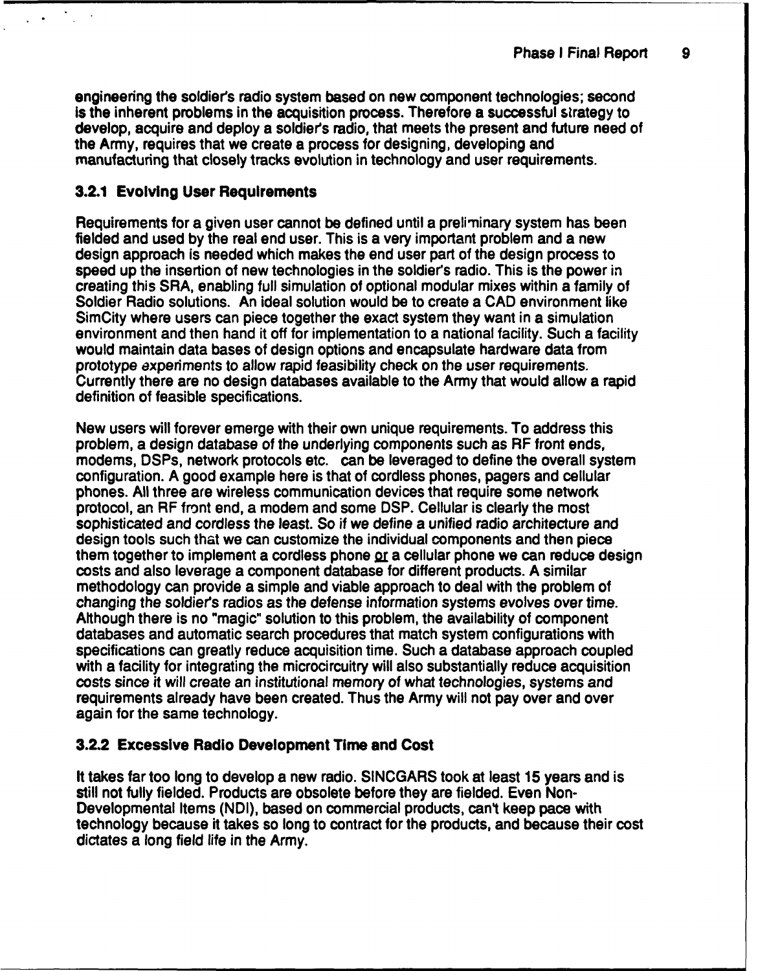engineering the soldier's radio system based on new component technologies; second is the inherent problems in the acquisition process. Therefore a successful strategy to develop, acquire and deploy a soldier's radio, that meets the present and future need of the Army, requires that we create a process for designing, developing and manufacturing that closely tracks evolution in technology and user requirements.

## **3.2.1** Evolving User Requirements

Requirements for a given user cannot be defined until a preliminary system has been fielded and used by the real end user. This is a very important problem and a new design approach is needed which makes the end user part of the design process to speed up the insertion of new technologies in the soldier's radio. This is the power in creating this SRA, enabling full simulation of optional modular mixes within a family of Soldier Radio solutions. An ideal solution would be to create a CAD environment like SimCity where users can piece together the exact system they want in a simulation environment and then hand it off for implementation to a national facility. Such a facility would maintain data bases of design options and encapsulate hardware data from prototype experiments to allow rapid feasibility check on the user requirements. Currently there are no design databases available to the Army that would allow a rapid definition of feasible specifications.

New users will forever emerge with their own unique requirements. To address this problem, a design database of the underlying components such as RF front ends, modems, DSPs, network protocols etc. can be leveraged to define the overall system configuration. A good example here is that of cordless phones, pagers and cellular phones. All three are wireless communication devices that require some network protocol, an RF front end, a modem and some DSP. Cellular is clearly the most sophisticated and cordless the least. So if we define a unified radio architecture and design tools such that we can customize the individual components and then piece them together to implement a cordless phone **2r** a cellular phone we can reduce design costs and also leverage a component database for different products. A similar methodology can provide a simple and viable approach to deal with the problem of changing the soldiers radios as the defense information systems evolves over time. Although there is no "magic" solution to this problem, the availability of component databases and automatic search procedures that match system configurations with specifications can greatly reduce acquisition time. Such a database approach coupled with a facility for integrating the microcircuitry will also substantially reduce acquisition costs since it will create an institutional memory of what technologies, systems and requirements already have been created. Thus the Army will not pay over and over again for the same technology.

# **3.2.2** Excessive Radio Development Time **and** Cost

It takes far too long to develop a new radio. SINCGARS took at least 15 years and is still not fully fielded. Products are obsolete before they are fielded. Even Non-Developmental Items (NDI), based on commercial products, cant keep pace with technology because it takes so long to contract for the products, and because their cost dictates a long field life in the Army.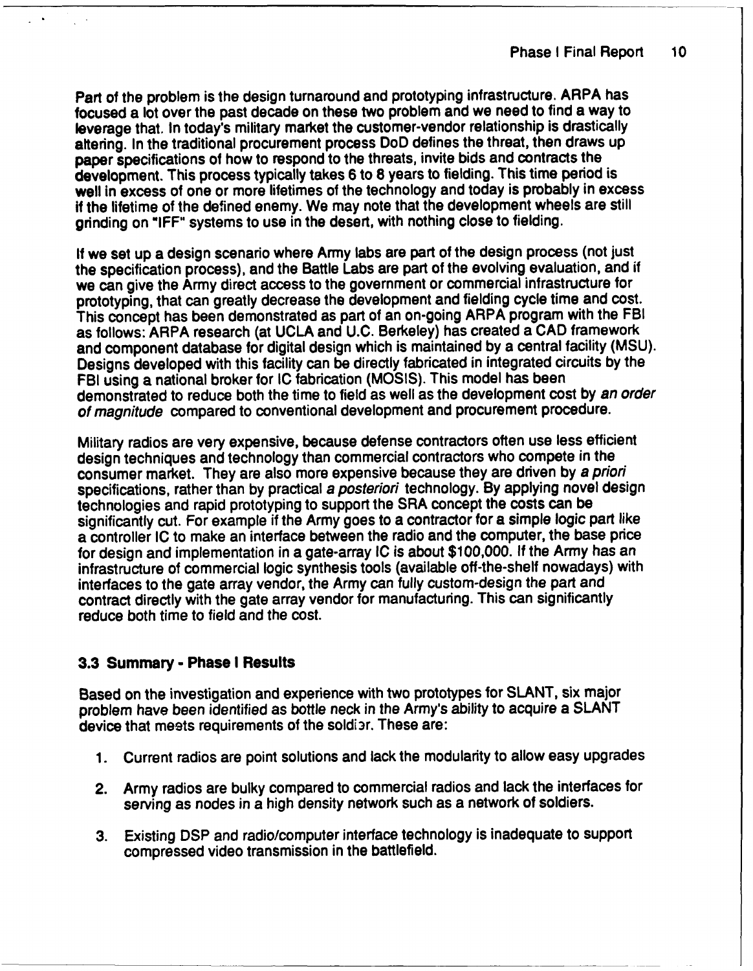Part of the problem is the design turnaround and prototyping infrastructure. ARPA has focused a lot over the past decade on these two problem and we need to find a way to leverage that. In today's military market the customer-vendor relationship is drastically altering. In the traditional procurement process DoD defines the threat, then draws up paper specifications of how to respond to the threats, invite bids and contracts the development. This process typically takes 6 to 8 years to fielding. This time period is well in excess of one or more lifetimes of the technology and today is probably in excess if the lifetime of the defined enemy. We may note that the development wheels are still grinding on "IFF" systems to use in the desert, with nothing close to fielding.

If we set up a design scenario where Army labs are part of the design process (not just the specification process), and the Battle Labs are part of the evolving evaluation, and if we can give the Army direct access to the government or commercial infrastructure for prototyping, that can greatly decrease the development and fielding cycle time and cost. This concept has been demonstrated as part of an on-going ARPA program with the FBI as follows: ARPA research (at UCLA and U.C. Berkeley) has created a CAD framework and component database for digital design which is maintained by a central facility (MSU). Designs developed with this facility can be directly fabricated in integrated circuits by the FBI using a national broker for IC fabrication (MOSIS). This model has been demonstrated to reduce both the time to field as well as the development cost by *an order of magnitude* compared to conventional development and procurement procedure.

Military radios are very expensive, because defense contractors often use less efficient design techniques and technology than commercial contractors who compete in the consumer market. They are also more expensive because they are driven by *a priori* specifications, rather than by practical *a posteriori* technology. By applying novel design technologies and rapid prototyping to support the SRA concept the costs can be significantly cut. For example if the Army goes to a contractor for a simple logic part like a controller IC to make an interface between the radio and the computer, the base price for design and implementation in a gate-array IC is about \$100,000. If the Army has an infrastructure of commercial logic synthesis tools (available off-the-shelf nowadays) with interfaces to the gate array vendor, the Army can fully custom-design the part and contract directly with the gate array vendor for manufacturing. This can significantly reduce both time to field and the cost.

# **3.3** Summary - Phase **I** Results

Based on the investigation and experience with two prototypes for SLANT, six major problem have been identified as bottle neck in the Army's ability to acquire a SLANT device that meets requirements of the soldi3r. These are:

- 1. Current radios are point solutions and lack the modularity to allow easy upgrades
- 2. Army radios are bulky compared to commercial radios and lack the interfaces for serving as nodes in a high density network such as a network of soldiers.
- 3. Existing DSP and radio/computer interface technology is inadequate to support compressed video transmission in the battlefield.